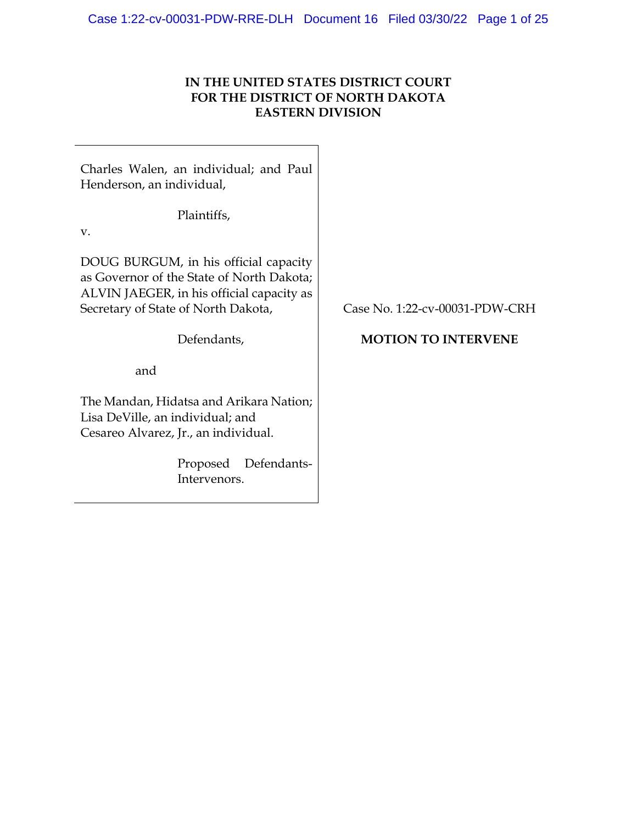### **IN THE UNITED STATES DISTRICT COURT FOR THE DISTRICT OF NORTH DAKOTA EASTERN DIVISION**

Charles Walen, an individual; and Paul Henderson, an individual,

Plaintiffs,

v.

DOUG BURGUM, in his official capacity as Governor of the State of North Dakota; ALVIN JAEGER, in his official capacity as Secretary of State of North Dakota,

Defendants,

and

The Mandan, Hidatsa and Arikara Nation; Lisa DeVille, an individual; and Cesareo Alvarez, Jr., an individual.

> Proposed Defendants-Intervenors.

Case No. 1:22-cv-00031-PDW-CRH

# **MOTION TO INTERVENE**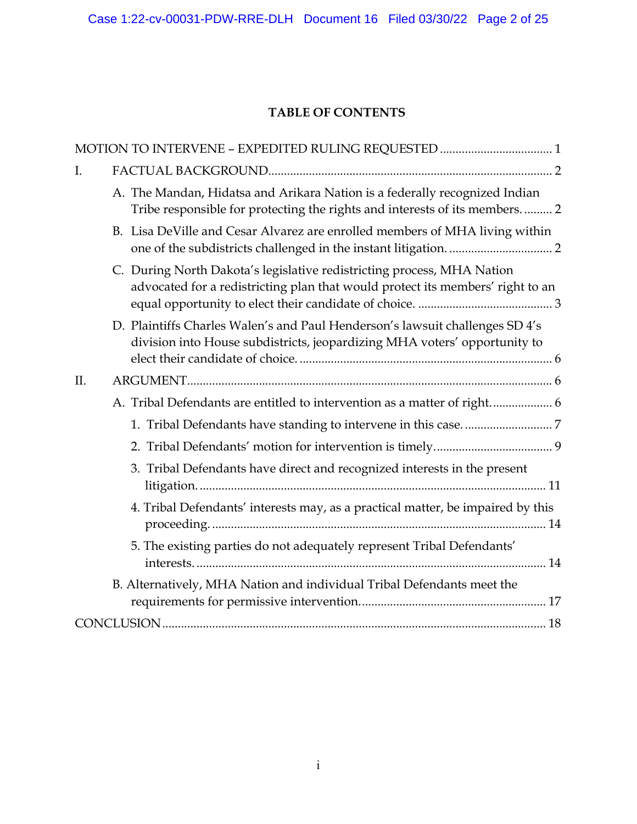# **TABLE OF CONTENTS**

| MOTION TO INTERVENE - EXPEDITED RULING REQUESTED  1                                                                                                        |
|------------------------------------------------------------------------------------------------------------------------------------------------------------|
| I.                                                                                                                                                         |
| A. The Mandan, Hidatsa and Arikara Nation is a federally recognized Indian<br>Tribe responsible for protecting the rights and interests of its members.  2 |
| B. Lisa DeVille and Cesar Alvarez are enrolled members of MHA living within                                                                                |
| C. During North Dakota's legislative redistricting process, MHA Nation<br>advocated for a redistricting plan that would protect its members' right to an   |
| D. Plaintiffs Charles Walen's and Paul Henderson's lawsuit challenges SD 4's<br>division into House subdistricts, jeopardizing MHA voters' opportunity to  |
| II.                                                                                                                                                        |
| A. Tribal Defendants are entitled to intervention as a matter of right 6                                                                                   |
|                                                                                                                                                            |
|                                                                                                                                                            |
| 3. Tribal Defendants have direct and recognized interests in the present                                                                                   |
| 4. Tribal Defendants' interests may, as a practical matter, be impaired by this                                                                            |
| 5. The existing parties do not adequately represent Tribal Defendants'                                                                                     |
| B. Alternatively, MHA Nation and individual Tribal Defendants meet the                                                                                     |
|                                                                                                                                                            |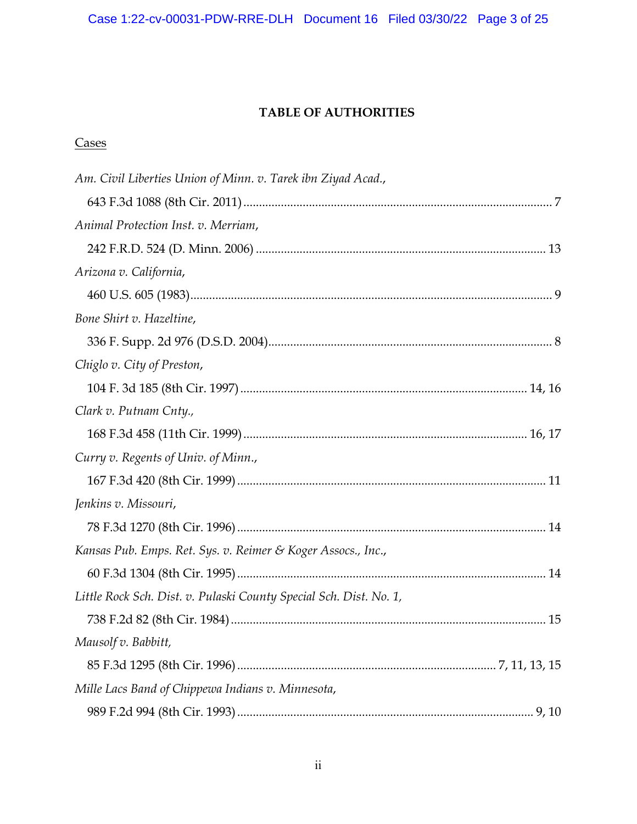# Case 1:22-cv-00031-PDW-RRE-DLH Document 16 Filed 03/30/22 Page 3 of 25

### **TABLE OF AUTHORITIES**

# **Cases**

| Am. Civil Liberties Union of Minn. v. Tarek ibn Ziyad Acad.,       |  |
|--------------------------------------------------------------------|--|
|                                                                    |  |
| Animal Protection Inst. v. Merriam,                                |  |
|                                                                    |  |
| Arizona v. California,                                             |  |
|                                                                    |  |
| Bone Shirt v. Hazeltine,                                           |  |
|                                                                    |  |
| Chiglo v. City of Preston,                                         |  |
|                                                                    |  |
| Clark v. Putnam Cnty.,                                             |  |
|                                                                    |  |
| Curry v. Regents of Univ. of Minn.,                                |  |
|                                                                    |  |
| Jenkins v. Missouri,                                               |  |
|                                                                    |  |
| Kansas Pub. Emps. Ret. Sys. v. Reimer & Koger Assocs., Inc.,       |  |
|                                                                    |  |
| Little Rock Sch. Dist. v. Pulaski County Special Sch. Dist. No. 1, |  |
|                                                                    |  |
| Mausolf v. Babbitt,                                                |  |
|                                                                    |  |
| Mille Lacs Band of Chippewa Indians v. Minnesota,                  |  |
|                                                                    |  |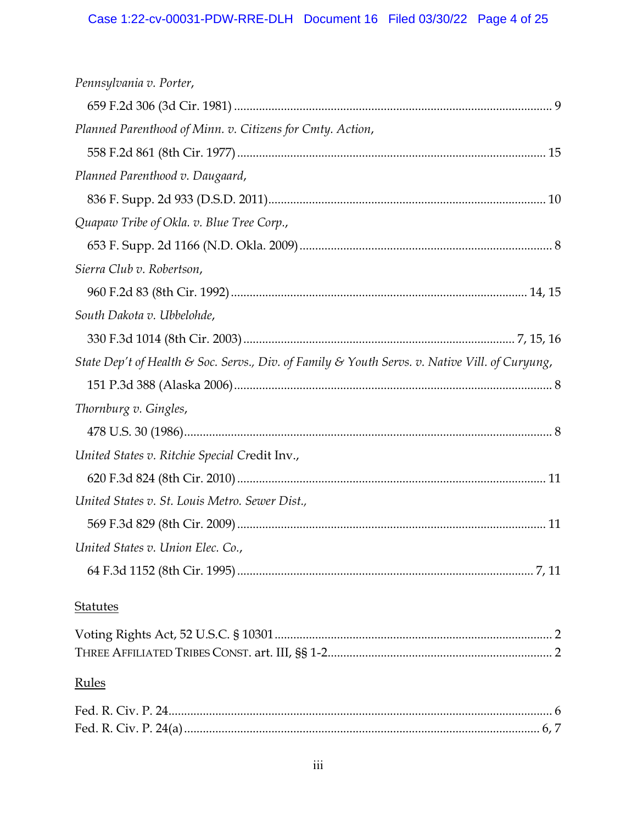| Pennsylvania v. Porter,                                                                        |
|------------------------------------------------------------------------------------------------|
|                                                                                                |
| Planned Parenthood of Minn. v. Citizens for Cmty. Action,                                      |
|                                                                                                |
| Planned Parenthood v. Daugaard,                                                                |
|                                                                                                |
| Quapaw Tribe of Okla. v. Blue Tree Corp.,                                                      |
|                                                                                                |
| Sierra Club v. Robertson,                                                                      |
|                                                                                                |
| South Dakota v. Ubbelohde,                                                                     |
|                                                                                                |
| State Dep't of Health & Soc. Servs., Div. of Family & Youth Servs. v. Native Vill. of Curyung, |
|                                                                                                |
|                                                                                                |
| Thornburg v. Gingles,                                                                          |
|                                                                                                |
| United States v. Ritchie Special Credit Inv.,                                                  |
|                                                                                                |
| United States v. St. Louis Metro. Sewer Dist.,                                                 |
|                                                                                                |
| United States v. Union Elec. Co.,                                                              |
|                                                                                                |
| <b>Statutes</b>                                                                                |
|                                                                                                |
|                                                                                                |
| Rules                                                                                          |
|                                                                                                |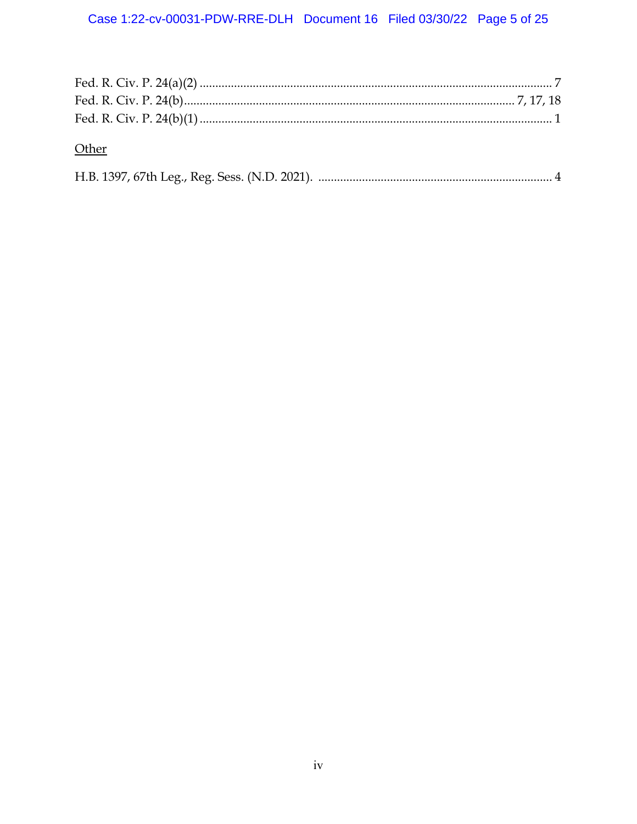| Other |  |
|-------|--|
|       |  |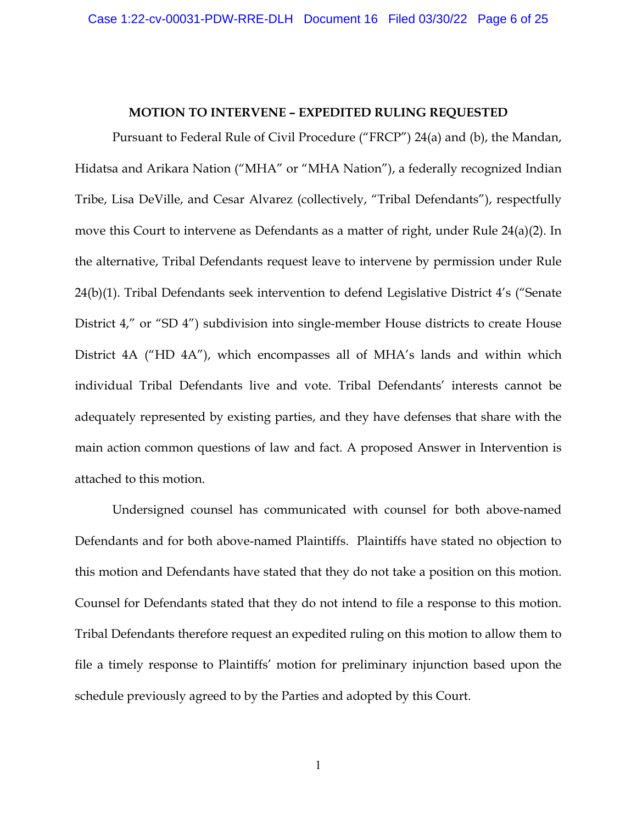#### **MOTION TO INTERVENE – EXPEDITED RULING REQUESTED**

Pursuant to Federal Rule of Civil Procedure ("FRCP") 24(a) and (b), the Mandan, Hidatsa and Arikara Nation ("MHA" or "MHA Nation"), a federally recognized Indian Tribe, Lisa DeVille, and Cesar Alvarez (collectively, "Tribal Defendants"), respectfully move this Court to intervene as Defendants as a matter of right, under Rule 24(a)(2). In the alternative, Tribal Defendants request leave to intervene by permission under Rule 24(b)(1). Tribal Defendants seek intervention to defend Legislative District 4's ("Senate District 4," or "SD 4") subdivision into single-member House districts to create House District 4A ("HD 4A"), which encompasses all of MHA's lands and within which individual Tribal Defendants live and vote. Tribal Defendants' interests cannot be adequately represented by existing parties, and they have defenses that share with the main action common questions of law and fact. A proposed Answer in Intervention is attached to this motion.

Undersigned counsel has communicated with counsel for both above-named Defendants and for both above-named Plaintiffs. Plaintiffs have stated no objection to this motion and Defendants have stated that they do not take a position on this motion. Counsel for Defendants stated that they do not intend to file a response to this motion. Tribal Defendants therefore request an expedited ruling on this motion to allow them to file a timely response to Plaintiffs' motion for preliminary injunction based upon the schedule previously agreed to by the Parties and adopted by this Court.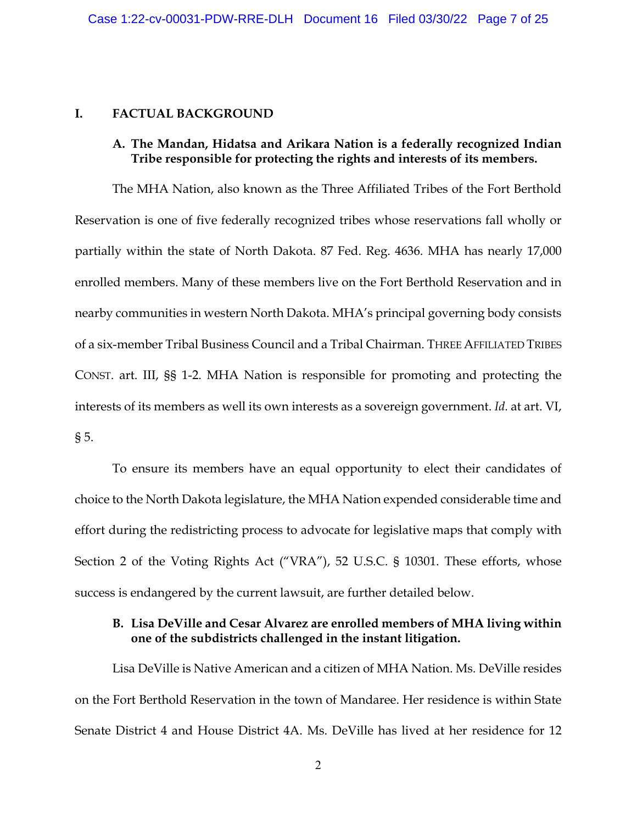#### **I. FACTUAL BACKGROUND**

#### **A. The Mandan, Hidatsa and Arikara Nation is a federally recognized Indian Tribe responsible for protecting the rights and interests of its members.**

The MHA Nation, also known as the Three Affiliated Tribes of the Fort Berthold Reservation is one of five federally recognized tribes whose reservations fall wholly or partially within the state of North Dakota. 87 Fed. Reg. 4636. MHA has nearly 17,000 enrolled members. Many of these members live on the Fort Berthold Reservation and in nearby communities in western North Dakota. MHA's principal governing body consists of a six-member Tribal Business Council and a Tribal Chairman. THREE AFFILIATED TRIBES CONST. art. III, §§ 1-2. MHA Nation is responsible for promoting and protecting the interests of its members as well its own interests as a sovereign government. *Id.* at art. VI, § 5.

To ensure its members have an equal opportunity to elect their candidates of choice to the North Dakota legislature, the MHA Nation expended considerable time and effort during the redistricting process to advocate for legislative maps that comply with Section 2 of the Voting Rights Act ("VRA"), 52 U.S.C. § 10301. These efforts, whose success is endangered by the current lawsuit, are further detailed below.

### **B. Lisa DeVille and Cesar Alvarez are enrolled members of MHA living within one of the subdistricts challenged in the instant litigation.**

Lisa DeVille is Native American and a citizen of MHA Nation. Ms. DeVille resides on the Fort Berthold Reservation in the town of Mandaree. Her residence is within State Senate District 4 and House District 4A. Ms. DeVille has lived at her residence for 12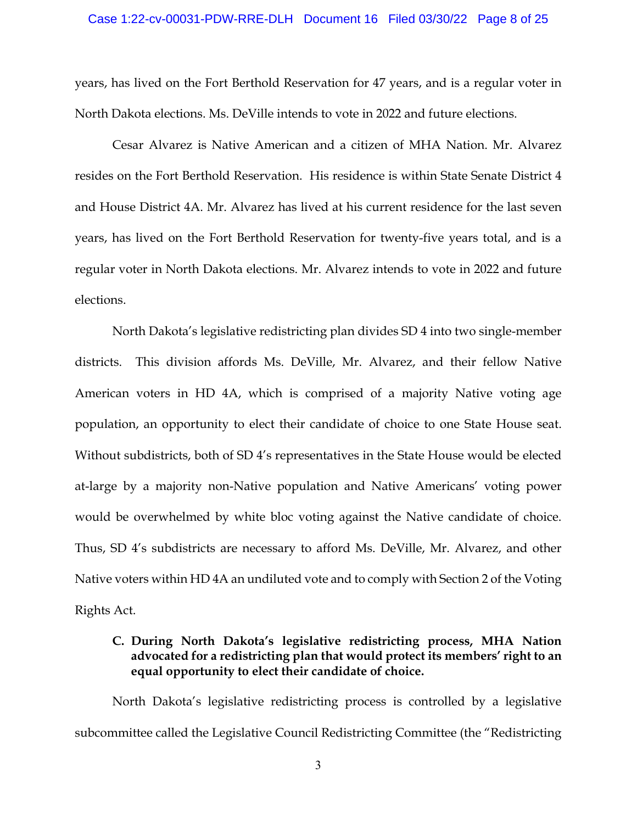years, has lived on the Fort Berthold Reservation for 47 years, and is a regular voter in North Dakota elections. Ms. DeVille intends to vote in 2022 and future elections.

Cesar Alvarez is Native American and a citizen of MHA Nation. Mr. Alvarez resides on the Fort Berthold Reservation. His residence is within State Senate District 4 and House District 4A. Mr. Alvarez has lived at his current residence for the last seven years, has lived on the Fort Berthold Reservation for twenty-five years total, and is a regular voter in North Dakota elections. Mr. Alvarez intends to vote in 2022 and future elections.

North Dakota's legislative redistricting plan divides SD 4 into two single-member districts. This division affords Ms. DeVille, Mr. Alvarez, and their fellow Native American voters in HD 4A, which is comprised of a majority Native voting age population, an opportunity to elect their candidate of choice to one State House seat. Without subdistricts, both of SD 4's representatives in the State House would be elected at-large by a majority non-Native population and Native Americans' voting power would be overwhelmed by white bloc voting against the Native candidate of choice. Thus, SD 4's subdistricts are necessary to afford Ms. DeVille, Mr. Alvarez, and other Native voters within HD 4A an undiluted vote and to comply with Section 2 of the Voting Rights Act.

### **C. During North Dakota's legislative redistricting process, MHA Nation advocated for a redistricting plan that would protect its members' right to an equal opportunity to elect their candidate of choice.**

North Dakota's legislative redistricting process is controlled by a legislative subcommittee called the Legislative Council Redistricting Committee (the "Redistricting

3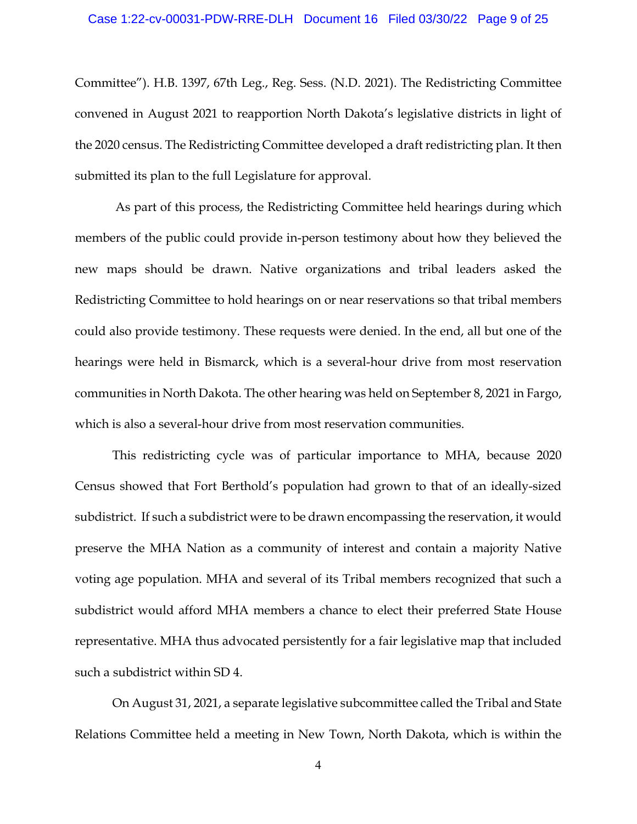Committee"). H.B. 1397, 67th Leg., Reg. Sess. (N.D. 2021). The Redistricting Committee convened in August 2021 to reapportion North Dakota's legislative districts in light of the 2020 census. The Redistricting Committee developed a draft redistricting plan. It then submitted its plan to the full Legislature for approval.

As part of this process, the Redistricting Committee held hearings during which members of the public could provide in-person testimony about how they believed the new maps should be drawn. Native organizations and tribal leaders asked the Redistricting Committee to hold hearings on or near reservations so that tribal members could also provide testimony. These requests were denied. In the end, all but one of the hearings were held in Bismarck, which is a several-hour drive from most reservation communities in North Dakota. The other hearing was held on September 8, 2021 in Fargo, which is also a several-hour drive from most reservation communities.

This redistricting cycle was of particular importance to MHA, because 2020 Census showed that Fort Berthold's population had grown to that of an ideally-sized subdistrict. If such a subdistrict were to be drawn encompassing the reservation, it would preserve the MHA Nation as a community of interest and contain a majority Native voting age population. MHA and several of its Tribal members recognized that such a subdistrict would afford MHA members a chance to elect their preferred State House representative. MHA thus advocated persistently for a fair legislative map that included such a subdistrict within SD 4.

On August 31, 2021, a separate legislative subcommittee called the Tribal and State Relations Committee held a meeting in New Town, North Dakota, which is within the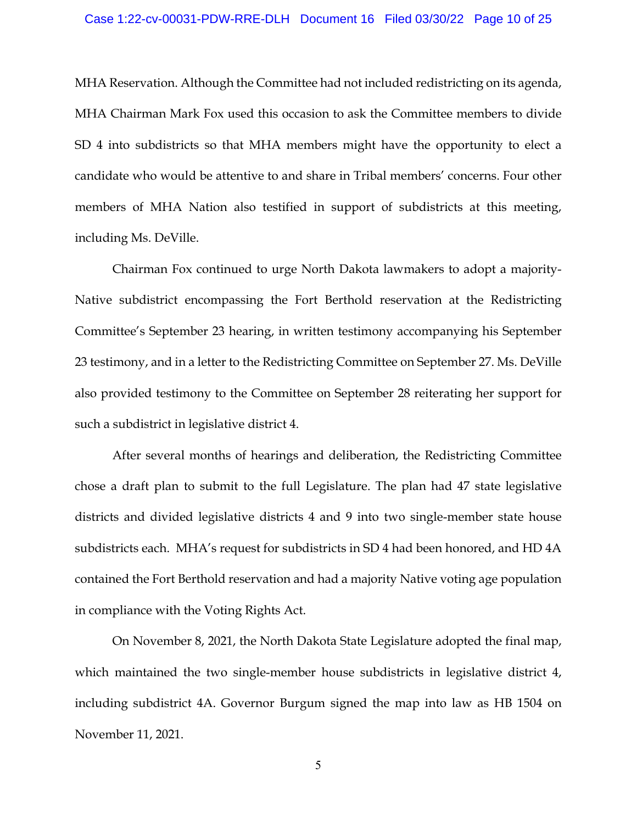MHA Reservation. Although the Committee had not included redistricting on its agenda, MHA Chairman Mark Fox used this occasion to ask the Committee members to divide SD 4 into subdistricts so that MHA members might have the opportunity to elect a candidate who would be attentive to and share in Tribal members' concerns. Four other members of MHA Nation also testified in support of subdistricts at this meeting, including Ms. DeVille.

Chairman Fox continued to urge North Dakota lawmakers to adopt a majority-Native subdistrict encompassing the Fort Berthold reservation at the Redistricting Committee's September 23 hearing, in written testimony accompanying his September 23 testimony, and in a letter to the Redistricting Committee on September 27. Ms. DeVille also provided testimony to the Committee on September 28 reiterating her support for such a subdistrict in legislative district 4.

After several months of hearings and deliberation, the Redistricting Committee chose a draft plan to submit to the full Legislature. The plan had 47 state legislative districts and divided legislative districts 4 and 9 into two single-member state house subdistricts each. MHA's request for subdistricts in SD 4 had been honored, and HD 4A contained the Fort Berthold reservation and had a majority Native voting age population in compliance with the Voting Rights Act.

On November 8, 2021, the North Dakota State Legislature adopted the final map, which maintained the two single-member house subdistricts in legislative district 4, including subdistrict 4A. Governor Burgum signed the map into law as HB 1504 on November 11, 2021.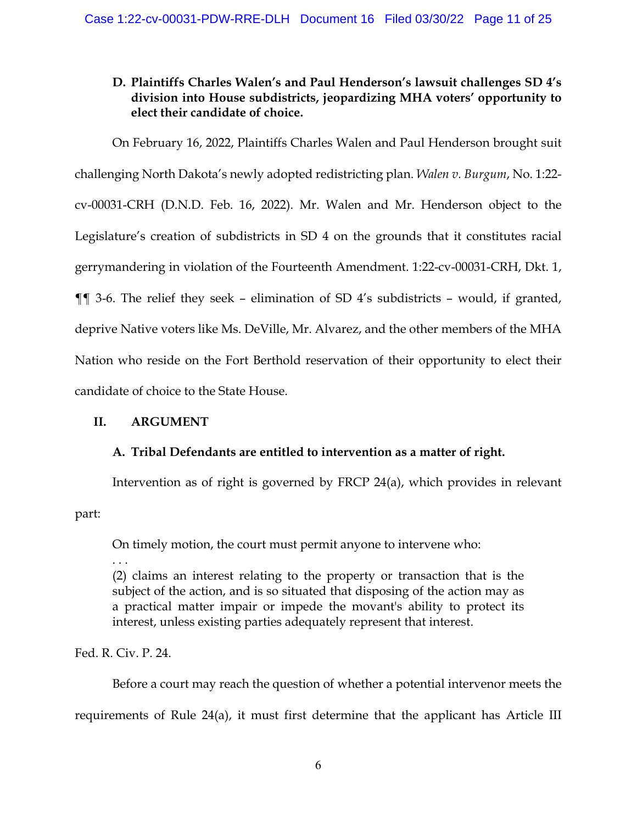## **D. Plaintiffs Charles Walen's and Paul Henderson's lawsuit challenges SD 4's division into House subdistricts, jeopardizing MHA voters' opportunity to elect their candidate of choice.**

On February 16, 2022, Plaintiffs Charles Walen and Paul Henderson brought suit challenging North Dakota's newly adopted redistricting plan. *Walen v. Burgum*, No. 1:22 cv-00031-CRH (D.N.D. Feb. 16, 2022). Mr. Walen and Mr. Henderson object to the Legislature's creation of subdistricts in SD 4 on the grounds that it constitutes racial gerrymandering in violation of the Fourteenth Amendment. 1:22-cv-00031-CRH, Dkt. 1, ¶¶ 3-6. The relief they seek – elimination of SD 4's subdistricts – would, if granted, deprive Native voters like Ms. DeVille, Mr. Alvarez, and the other members of the MHA Nation who reside on the Fort Berthold reservation of their opportunity to elect their candidate of choice to the State House.

## **II. ARGUMENT**

## **A. Tribal Defendants are entitled to intervention as a matter of right.**

Intervention as of right is governed by FRCP 24(a), which provides in relevant part:

On timely motion, the court must permit anyone to intervene who:

. . .

(2) claims an interest relating to the property or transaction that is the subject of the action, and is so situated that disposing of the action may as a practical matter impair or impede the movant's ability to protect its interest, unless existing parties adequately represent that interest.

Fed. R. Civ. P. 24.

Before a court may reach the question of whether a potential intervenor meets the requirements of Rule 24(a), it must first determine that the applicant has Article III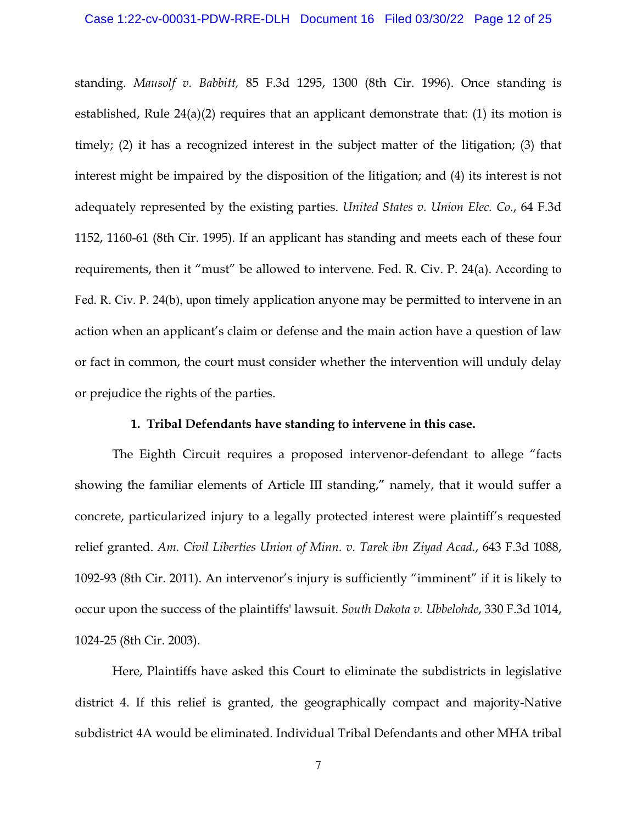standing. *Mausolf v. Babbitt,* 85 F.3d 1295, 1300 (8th Cir. 1996). Once standing is established, Rule  $24(a)(2)$  requires that an applicant demonstrate that: (1) its motion is timely; (2) it has a recognized interest in the subject matter of the litigation; (3) that interest might be impaired by the disposition of the litigation; and (4) its interest is not adequately represented by the existing parties. *United States v. Union Elec. Co.*, 64 F.3d 1152, 1160-61 (8th Cir. 1995). If an applicant has standing and meets each of these four requirements, then it "must" be allowed to intervene. Fed. R. Civ. P. 24(a). According to Fed. R. Civ. P. 24(b), upon timely application anyone may be permitted to intervene in an action when an applicant's claim or defense and the main action have a question of law or fact in common, the court must consider whether the intervention will unduly delay or prejudice the rights of the parties.

#### **1. Tribal Defendants have standing to intervene in this case.**

The Eighth Circuit requires a proposed intervenor-defendant to allege "facts showing the familiar elements of Article III standing," namely, that it would suffer a concrete, particularized injury to a legally protected interest were plaintiff's requested relief granted. *Am. Civil Liberties Union of Minn. v. Tarek ibn Ziyad Acad.*, 643 F.3d 1088, 1092-93 (8th Cir. 2011). An intervenor's injury is sufficiently "imminent" if it is likely to occur upon the success of the plaintiffs' lawsuit. *South Dakota v. Ubbelohde*, 330 F.3d 1014, 1024-25 (8th Cir. 2003).

Here, Plaintiffs have asked this Court to eliminate the subdistricts in legislative district 4. If this relief is granted, the geographically compact and majority-Native subdistrict 4A would be eliminated. Individual Tribal Defendants and other MHA tribal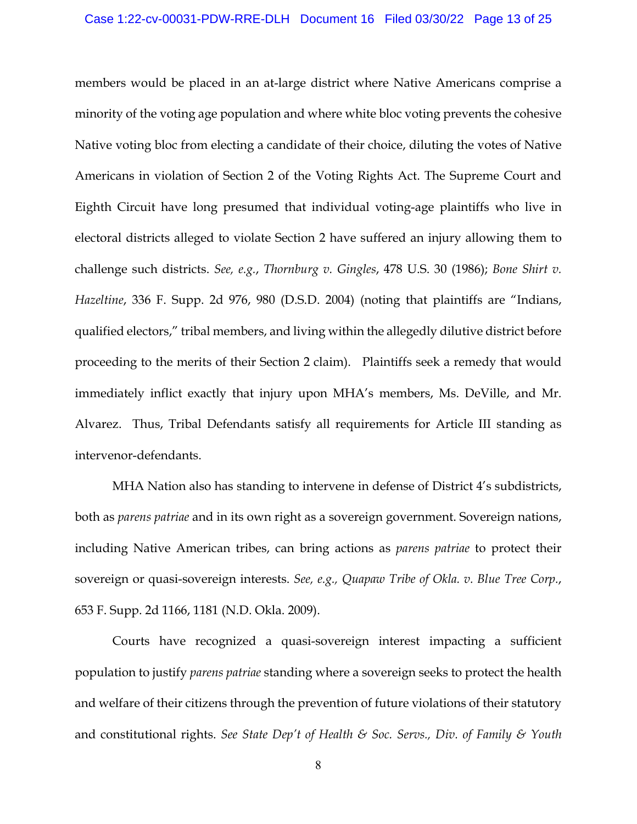members would be placed in an at-large district where Native Americans comprise a minority of the voting age population and where white bloc voting prevents the cohesive Native voting bloc from electing a candidate of their choice, diluting the votes of Native Americans in violation of Section 2 of the Voting Rights Act. The Supreme Court and Eighth Circuit have long presumed that individual voting-age plaintiffs who live in electoral districts alleged to violate Section 2 have suffered an injury allowing them to challenge such districts. *See, e.g.*, *Thornburg v. Gingles*, 478 U.S. 30 (1986); *Bone Shirt v. Hazeltine*, 336 F. Supp. 2d 976, 980 (D.S.D. 2004) (noting that plaintiffs are "Indians, qualified electors," tribal members, and living within the allegedly dilutive district before proceeding to the merits of their Section 2 claim). Plaintiffs seek a remedy that would immediately inflict exactly that injury upon MHA's members, Ms. DeVille, and Mr. Alvarez. Thus, Tribal Defendants satisfy all requirements for Article III standing as intervenor-defendants.

MHA Nation also has standing to intervene in defense of District 4's subdistricts, both as *parens patriae* and in its own right as a sovereign government. Sovereign nations, including Native American tribes, can bring actions as *parens patriae* to protect their sovereign or quasi-sovereign interests. *See, e.g., Quapaw Tribe of Okla. v. Blue Tree Corp.*, 653 F. Supp. 2d 1166, 1181 (N.D. Okla. 2009).

Courts have recognized a quasi-sovereign interest impacting a sufficient population to justify *parens patriae* standing where a sovereign seeks to protect the health and welfare of their citizens through the prevention of future violations of their statutory and constitutional rights. *See State Dep't of Health & Soc. Servs., Div. of Family & Youth*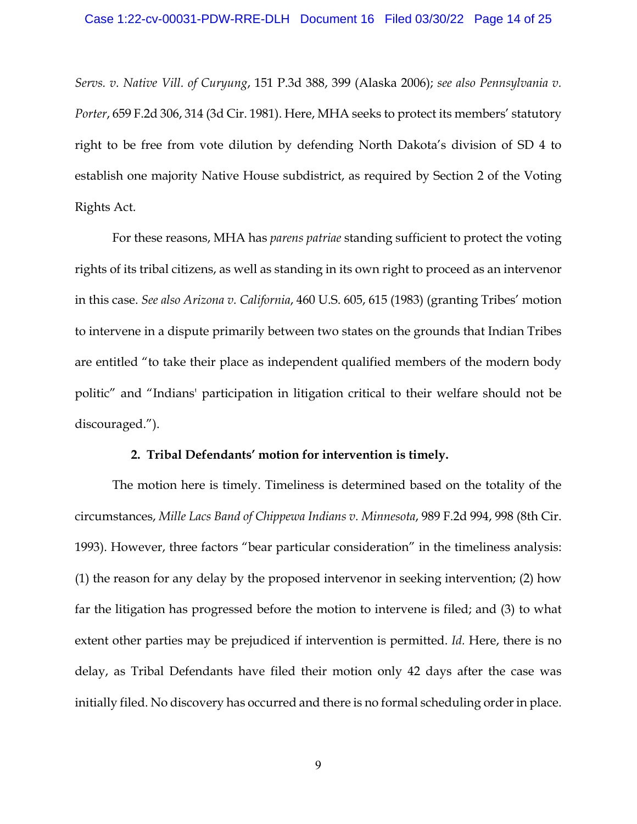*Servs. v. Native Vill. of Curyung*, 151 P.3d 388, 399 (Alaska 2006); *see also Pennsylvania v. Porter*, 659 F.2d 306, 314 (3d Cir. 1981). Here, MHA seeks to protect its members' statutory right to be free from vote dilution by defending North Dakota's division of SD 4 to establish one majority Native House subdistrict, as required by Section 2 of the Voting Rights Act.

For these reasons, MHA has *parens patriae* standing sufficient to protect the voting rights of its tribal citizens, as well as standing in its own right to proceed as an intervenor in this case. *See also Arizona v. California*, 460 U.S. 605, 615 (1983) (granting Tribes' motion to intervene in a dispute primarily between two states on the grounds that Indian Tribes are entitled "to take their place as independent qualified members of the modern body politic" and "Indians' participation in litigation critical to their welfare should not be discouraged.").

#### **2. Tribal Defendants' motion for intervention is timely.**

The motion here is timely. Timeliness is determined based on the totality of the circumstances, *Mille Lacs Band of Chippewa Indians v. Minnesota*, 989 F.2d 994, 998 (8th Cir. 1993). However, three factors "bear particular consideration" in the timeliness analysis: (1) the reason for any delay by the proposed intervenor in seeking intervention; (2) how far the litigation has progressed before the motion to intervene is filed; and (3) to what extent other parties may be prejudiced if intervention is permitted. *Id.* Here, there is no delay, as Tribal Defendants have filed their motion only 42 days after the case was initially filed. No discovery has occurred and there is no formal scheduling order in place.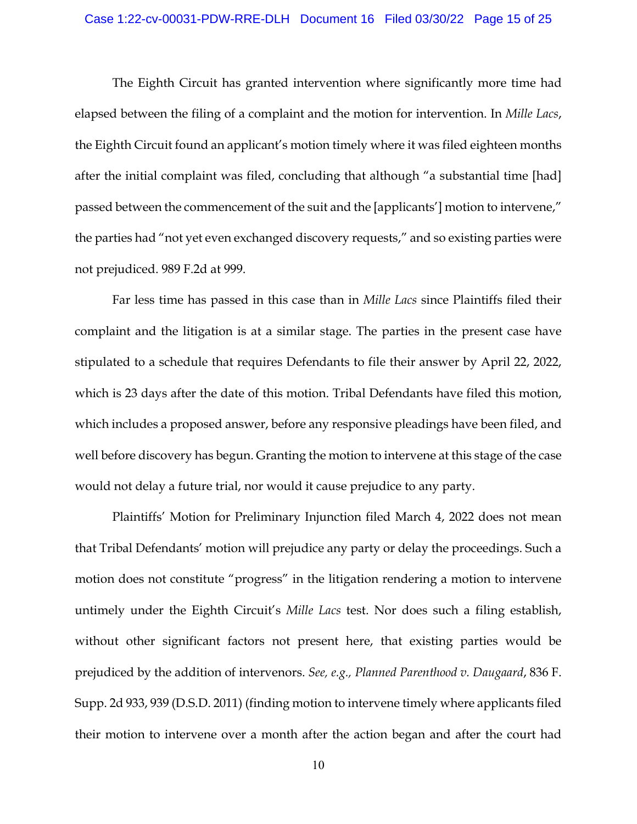The Eighth Circuit has granted intervention where significantly more time had elapsed between the filing of a complaint and the motion for intervention. In *Mille Lacs*, the Eighth Circuit found an applicant's motion timely where it was filed eighteen months after the initial complaint was filed, concluding that although "a substantial time [had] passed between the commencement of the suit and the [applicants'] motion to intervene," the parties had "not yet even exchanged discovery requests," and so existing parties were not prejudiced. 989 F.2d at 999.

Far less time has passed in this case than in *Mille Lacs* since Plaintiffs filed their complaint and the litigation is at a similar stage. The parties in the present case have stipulated to a schedule that requires Defendants to file their answer by April 22, 2022, which is 23 days after the date of this motion. Tribal Defendants have filed this motion, which includes a proposed answer, before any responsive pleadings have been filed, and well before discovery has begun. Granting the motion to intervene at this stage of the case would not delay a future trial, nor would it cause prejudice to any party.

Plaintiffs' Motion for Preliminary Injunction filed March 4, 2022 does not mean that Tribal Defendants' motion will prejudice any party or delay the proceedings. Such a motion does not constitute "progress" in the litigation rendering a motion to intervene untimely under the Eighth Circuit's *Mille Lacs* test. Nor does such a filing establish, without other significant factors not present here, that existing parties would be prejudiced by the addition of intervenors. *See, e.g., Planned Parenthood v. Daugaard*, 836 F. Supp. 2d 933, 939 (D.S.D. 2011) (finding motion to intervene timely where applicants filed their motion to intervene over a month after the action began and after the court had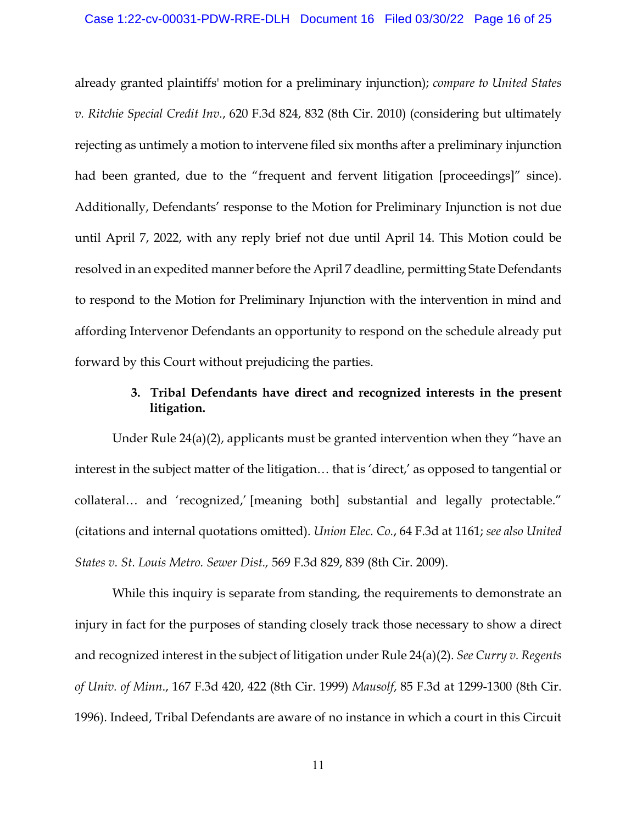already granted plaintiffs' motion for a preliminary injunction); *compare to United States v. Ritchie Special Credit Inv.*, 620 F.3d 824, 832 (8th Cir. 2010) (considering but ultimately rejecting as untimely a motion to intervene filed six months after a preliminary injunction had been granted, due to the "frequent and fervent litigation [proceedings]" since). Additionally, Defendants' response to the Motion for Preliminary Injunction is not due until April 7, 2022, with any reply brief not due until April 14. This Motion could be resolved in an expedited manner before the April 7 deadline, permitting State Defendants to respond to the Motion for Preliminary Injunction with the intervention in mind and affording Intervenor Defendants an opportunity to respond on the schedule already put forward by this Court without prejudicing the parties.

### **3. Tribal Defendants have direct and recognized interests in the present litigation.**

Under Rule 24(a)(2), applicants must be granted intervention when they "have an interest in the subject matter of the litigation… that is 'direct,' as opposed to tangential or collateral… and 'recognized,' [meaning both] substantial and legally protectable." (citations and internal quotations omitted). *Union Elec. Co.*, 64 F.3d at 1161; *see also United States v. St. Louis Metro. Sewer Dist.,* 569 F.3d 829, 839 (8th Cir. 2009).

While this inquiry is separate from standing, the requirements to demonstrate an injury in fact for the purposes of standing closely track those necessary to show a direct and recognized interest in the subject of litigation under Rule 24(a)(2). *See Curry v. Regents of Univ. of Minn*., 167 F.3d 420, 422 (8th Cir. 1999) *Mausolf*, 85 F.3d at 1299-1300 (8th Cir. 1996). Indeed, Tribal Defendants are aware of no instance in which a court in this Circuit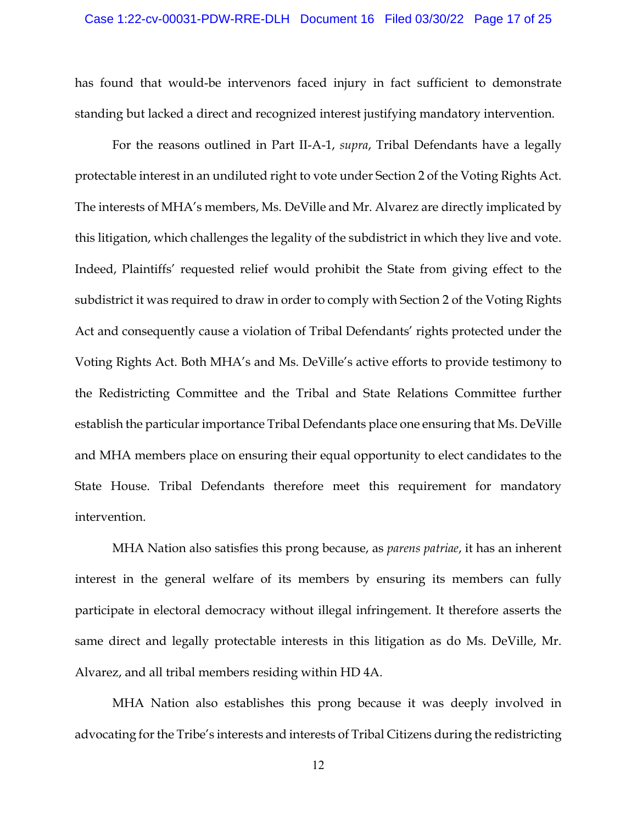has found that would-be intervenors faced injury in fact sufficient to demonstrate standing but lacked a direct and recognized interest justifying mandatory intervention.

For the reasons outlined in Part II-A-1, *supra*, Tribal Defendants have a legally protectable interest in an undiluted right to vote under Section 2 of the Voting Rights Act. The interests of MHA's members, Ms. DeVille and Mr. Alvarez are directly implicated by this litigation, which challenges the legality of the subdistrict in which they live and vote. Indeed, Plaintiffs' requested relief would prohibit the State from giving effect to the subdistrict it was required to draw in order to comply with Section 2 of the Voting Rights Act and consequently cause a violation of Tribal Defendants' rights protected under the Voting Rights Act. Both MHA's and Ms. DeVille's active efforts to provide testimony to the Redistricting Committee and the Tribal and State Relations Committee further establish the particular importance Tribal Defendants place one ensuring that Ms. DeVille and MHA members place on ensuring their equal opportunity to elect candidates to the State House. Tribal Defendants therefore meet this requirement for mandatory intervention.

MHA Nation also satisfies this prong because, as *parens patriae*, it has an inherent interest in the general welfare of its members by ensuring its members can fully participate in electoral democracy without illegal infringement. It therefore asserts the same direct and legally protectable interests in this litigation as do Ms. DeVille, Mr. Alvarez, and all tribal members residing within HD 4A.

MHA Nation also establishes this prong because it was deeply involved in advocating for the Tribe's interests and interests of Tribal Citizens during the redistricting

12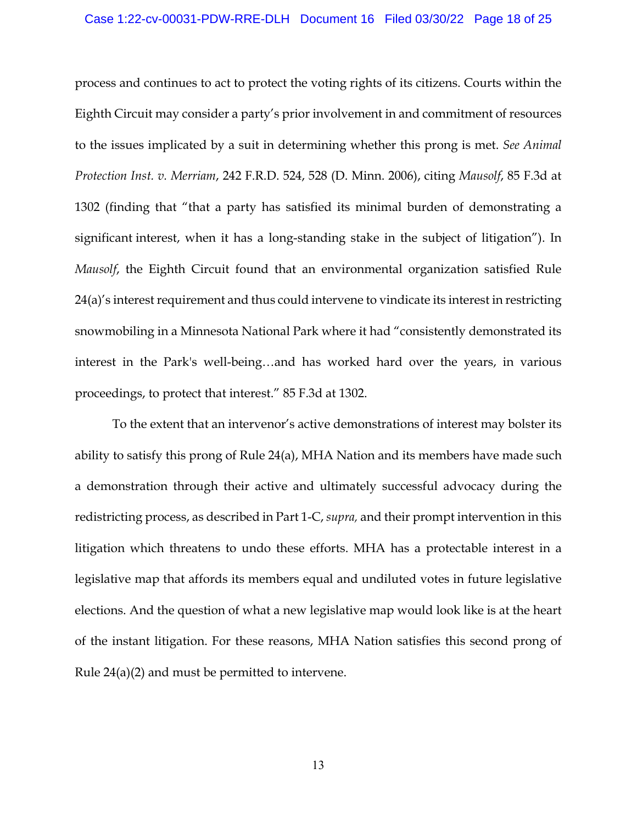process and continues to act to protect the voting rights of its citizens. Courts within the Eighth Circuit may consider a party's prior involvement in and commitment of resources to the issues implicated by a suit in determining whether this prong is met. *See Animal Protection Inst. v. Merriam*, 242 F.R.D. 524, 528 (D. Minn. 2006), citing *Mausolf*, 85 F.3d at 1302 (finding that "that a party has satisfied its minimal burden of demonstrating a significant interest, when it has a long-standing stake in the subject of litigation"). In *Mausolf*, the Eighth Circuit found that an environmental organization satisfied Rule 24(a)'s interest requirement and thus could intervene to vindicate its interest in restricting snowmobiling in a Minnesota National Park where it had "consistently demonstrated its interest in the Park's well-being…and has worked hard over the years, in various proceedings, to protect that interest." 85 F.3d at 1302.

To the extent that an intervenor's active demonstrations of interest may bolster its ability to satisfy this prong of Rule 24(a), MHA Nation and its members have made such a demonstration through their active and ultimately successful advocacy during the redistricting process, as described in Part 1-C, *supra,* and their prompt intervention in this litigation which threatens to undo these efforts. MHA has a protectable interest in a legislative map that affords its members equal and undiluted votes in future legislative elections. And the question of what a new legislative map would look like is at the heart of the instant litigation. For these reasons, MHA Nation satisfies this second prong of Rule 24(a)(2) and must be permitted to intervene.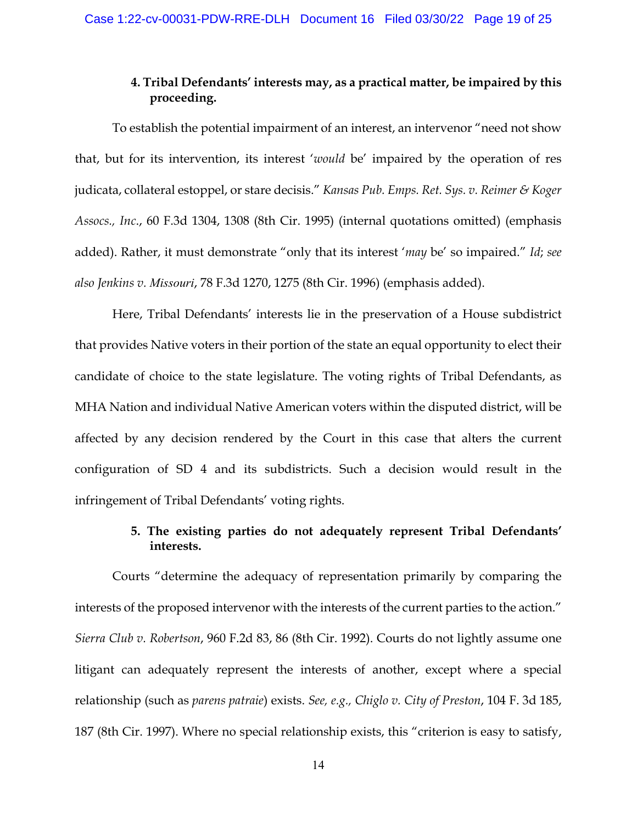### **4. Tribal Defendants' interests may, as a practical matter, be impaired by this proceeding.**

To establish the potential impairment of an interest, an intervenor "need not show that, but for its intervention, its interest '*would* be' impaired by the operation of res judicata, collateral estoppel, or stare decisis." *Kansas Pub. Emps. Ret. Sys. v. Reimer & Koger Assocs., Inc*., 60 F.3d 1304, 1308 (8th Cir. 1995) (internal quotations omitted) (emphasis added). Rather, it must demonstrate "only that its interest '*may* be' so impaired." *Id*; *see also Jenkins v. Missouri*, 78 F.3d 1270, 1275 (8th Cir. 1996) (emphasis added).

Here, Tribal Defendants' interests lie in the preservation of a House subdistrict that provides Native voters in their portion of the state an equal opportunity to elect their candidate of choice to the state legislature. The voting rights of Tribal Defendants, as MHA Nation and individual Native American voters within the disputed district, will be affected by any decision rendered by the Court in this case that alters the current configuration of SD 4 and its subdistricts. Such a decision would result in the infringement of Tribal Defendants' voting rights.

### **5. The existing parties do not adequately represent Tribal Defendants' interests.**

Courts "determine the adequacy of representation primarily by comparing the interests of the proposed intervenor with the interests of the current parties to the action." *Sierra Club v. Robertson*, 960 F.2d 83, 86 (8th Cir. 1992). Courts do not lightly assume one litigant can adequately represent the interests of another, except where a special relationship (such as *parens patraie*) exists. *See, e.g., Chiglo v. City of Preston*, 104 F. 3d 185, 187 (8th Cir. 1997). Where no special relationship exists, this "criterion is easy to satisfy,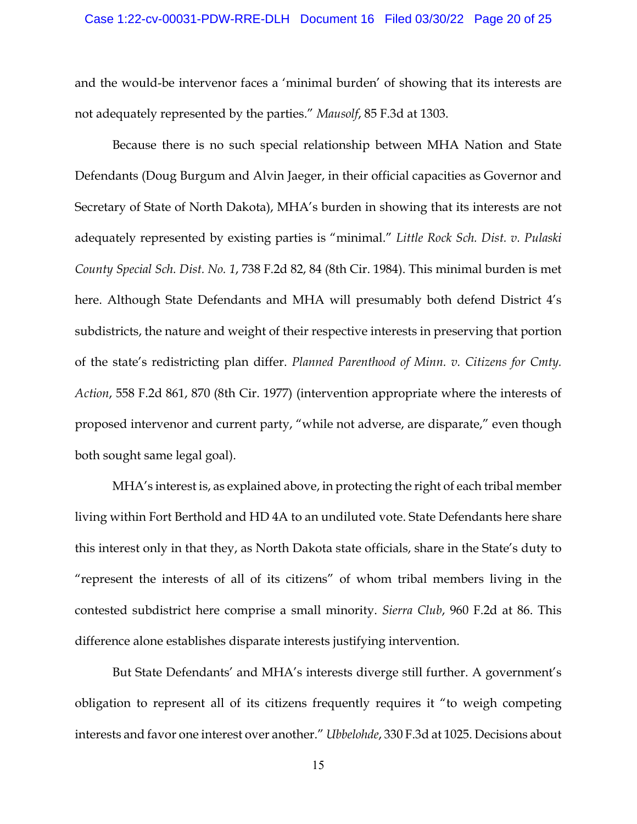and the would-be intervenor faces a 'minimal burden' of showing that its interests are not adequately represented by the parties." *Mausolf*, 85 F.3d at 1303.

Because there is no such special relationship between MHA Nation and State Defendants (Doug Burgum and Alvin Jaeger, in their official capacities as Governor and Secretary of State of North Dakota), MHA's burden in showing that its interests are not adequately represented by existing parties is "minimal." *Little Rock Sch. Dist. v. Pulaski County Special Sch. Dist. No. 1*, 738 F.2d 82, 84 (8th Cir. 1984). This minimal burden is met here. Although State Defendants and MHA will presumably both defend District 4's subdistricts, the nature and weight of their respective interests in preserving that portion of the state's redistricting plan differ. *Planned Parenthood of Minn. v. Citizens for Cmty. Action*, 558 F.2d 861, 870 (8th Cir. 1977) (intervention appropriate where the interests of proposed intervenor and current party, "while not adverse, are disparate," even though both sought same legal goal).

MHA's interest is, as explained above, in protecting the right of each tribal member living within Fort Berthold and HD 4A to an undiluted vote. State Defendants here share this interest only in that they, as North Dakota state officials, share in the State's duty to "represent the interests of all of its citizens" of whom tribal members living in the contested subdistrict here comprise a small minority. *Sierra Club*, 960 F.2d at 86. This difference alone establishes disparate interests justifying intervention.

But State Defendants' and MHA's interests diverge still further. A government's obligation to represent all of its citizens frequently requires it "to weigh competing interests and favor one interest over another." *Ubbelohde*, 330 F.3d at 1025. Decisions about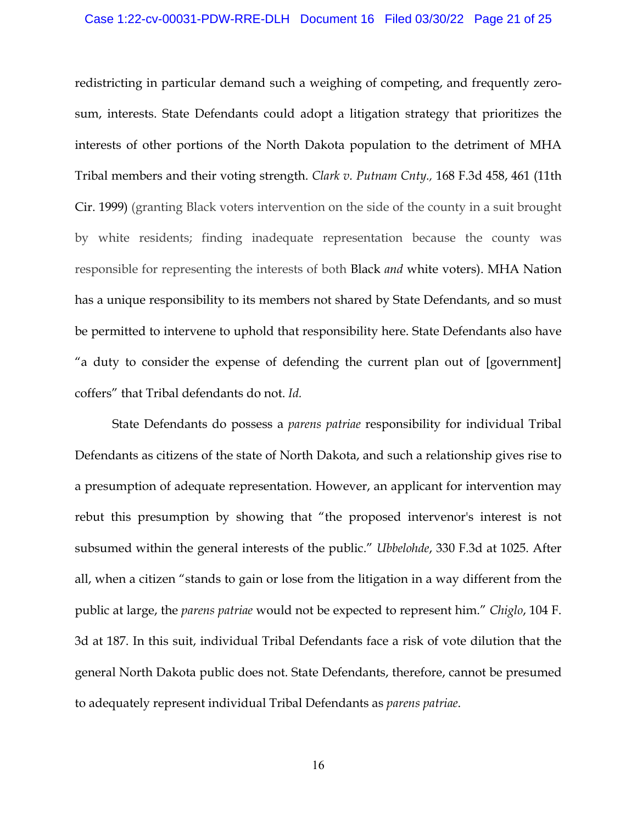redistricting in particular demand such a weighing of competing, and frequently zerosum, interests. State Defendants could adopt a litigation strategy that prioritizes the interests of other portions of the North Dakota population to the detriment of MHA Tribal members and their voting strength. *Clark v. Putnam Cnty.,* 168 F.3d 458, 461 (11th Cir. 1999) (granting Black voters intervention on the side of the county in a suit brought by white residents; finding inadequate representation because the county was responsible for representing the interests of both Black *and* white voters). MHA Nation has a unique responsibility to its members not shared by State Defendants, and so must be permitted to intervene to uphold that responsibility here. State Defendants also have "a duty to consider the expense of defending the current plan out of [government] coffers" that Tribal defendants do not. *Id.*

State Defendants do possess a *parens patriae* responsibility for individual Tribal Defendants as citizens of the state of North Dakota, and such a relationship gives rise to a presumption of adequate representation. However, an applicant for intervention may rebut this presumption by showing that "the proposed intervenor's interest is not subsumed within the general interests of the public." *Ubbelohde*, 330 F.3d at 1025. After all, when a citizen "stands to gain or lose from the litigation in a way different from the public at large, the *parens patriae* would not be expected to represent him." *Chiglo*, 104 F. 3d at 187. In this suit, individual Tribal Defendants face a risk of vote dilution that the general North Dakota public does not. State Defendants, therefore, cannot be presumed to adequately represent individual Tribal Defendants as *parens patriae*.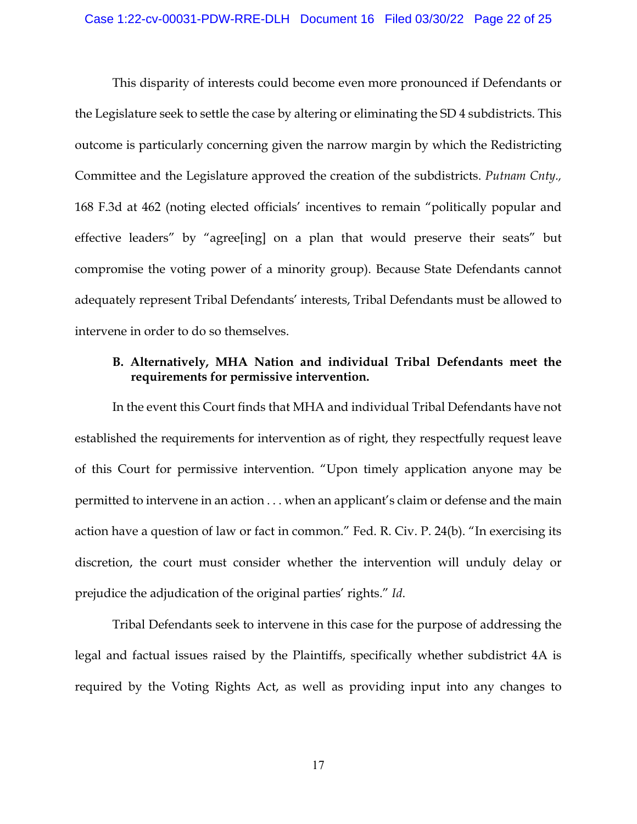This disparity of interests could become even more pronounced if Defendants or the Legislature seek to settle the case by altering or eliminating the SD 4 subdistricts. This outcome is particularly concerning given the narrow margin by which the Redistricting Committee and the Legislature approved the creation of the subdistricts. *Putnam Cnty.,*  168 F.3d at 462 (noting elected officials' incentives to remain "politically popular and effective leaders" by "agree[ing] on a plan that would preserve their seats" but compromise the voting power of a minority group). Because State Defendants cannot adequately represent Tribal Defendants' interests, Tribal Defendants must be allowed to intervene in order to do so themselves.

### **B. Alternatively, MHA Nation and individual Tribal Defendants meet the requirements for permissive intervention.**

In the event this Court finds that MHA and individual Tribal Defendants have not established the requirements for intervention as of right, they respectfully request leave of this Court for permissive intervention. "Upon timely application anyone may be permitted to intervene in an action . . . when an applicant's claim or defense and the main action have a question of law or fact in common." Fed. R. Civ. P. 24(b). "In exercising its discretion, the court must consider whether the intervention will unduly delay or prejudice the adjudication of the original parties' rights." *Id*.

Tribal Defendants seek to intervene in this case for the purpose of addressing the legal and factual issues raised by the Plaintiffs, specifically whether subdistrict 4A is required by the Voting Rights Act, as well as providing input into any changes to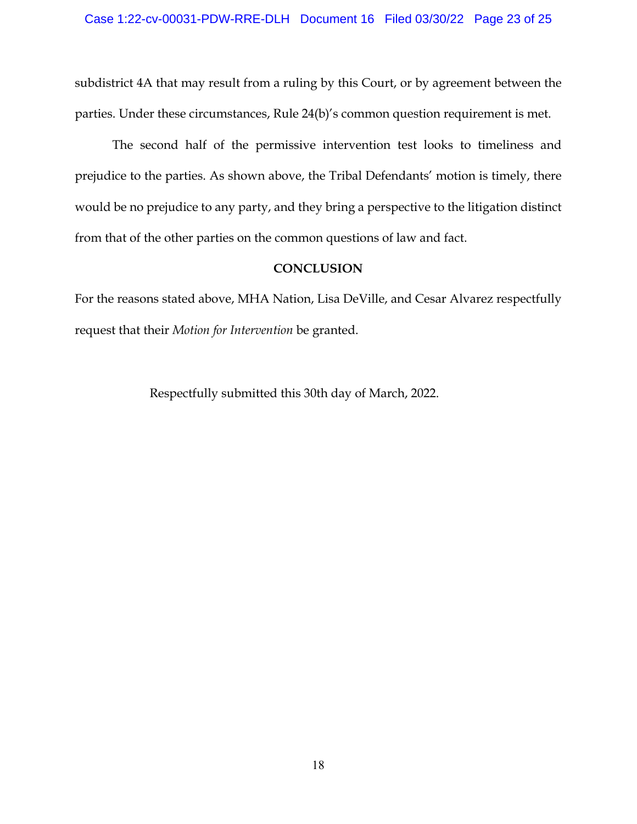subdistrict 4A that may result from a ruling by this Court, or by agreement between the parties. Under these circumstances, Rule 24(b)'s common question requirement is met.

The second half of the permissive intervention test looks to timeliness and prejudice to the parties. As shown above, the Tribal Defendants' motion is timely, there would be no prejudice to any party, and they bring a perspective to the litigation distinct from that of the other parties on the common questions of law and fact.

#### **CONCLUSION**

For the reasons stated above, MHA Nation, Lisa DeVille, and Cesar Alvarez respectfully request that their *Motion for Intervention* be granted.

Respectfully submitted this 30th day of March, 2022.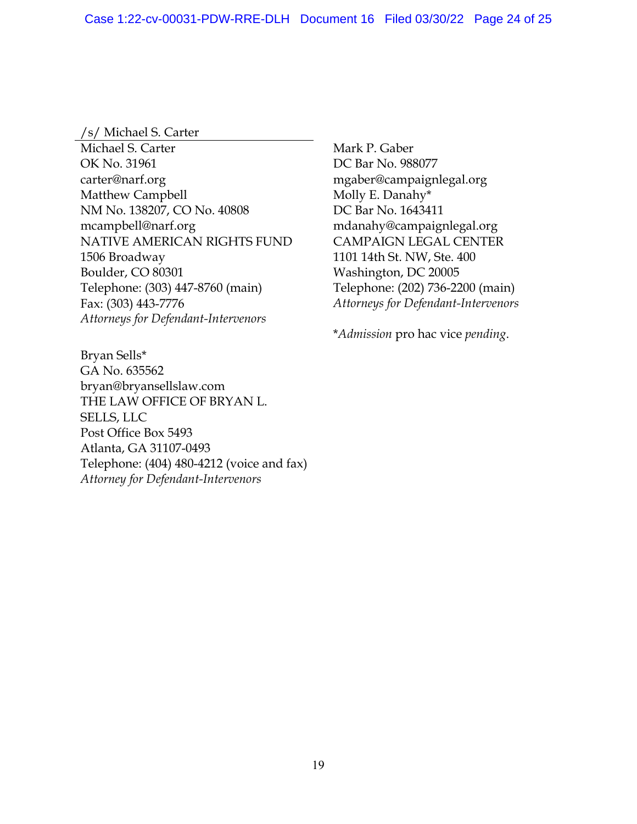### /s/ Michael S. Carter

Michael S. Carter OK No. 31961 carter@narf.org Matthew Campbell NM No. 138207, CO No. 40808 mcampbell@narf.org NATIVE AMERICAN RIGHTS FUND 1506 Broadway Boulder, CO 80301 Telephone: (303) 447-8760 (main) Fax: (303) 443-7776 *Attorneys for Defendant-Intervenors* 

Bryan Sells\* GA No. 635562 bryan@bryansellslaw.com THE LAW OFFICE OF BRYAN L. SELLS, LLC Post Office Box 5493 Atlanta, GA 31107-0493 Telephone: (404) 480-4212 (voice and fax) *Attorney for Defendant-Intervenors* 

 Mark P. Gaber DC Bar No. 988077 mgaber@campaignlegal.org Molly E. Danahy\* DC Bar No. 1643411 mdanahy@campaignlegal.org CAMPAIGN LEGAL CENTER 1101 14th St. NW, Ste. 400 Washington, DC 20005 Telephone: (202) 736-2200 (main) *Attorneys for Defendant-Intervenors* 

\**Admission* pro hac vice *pending*.